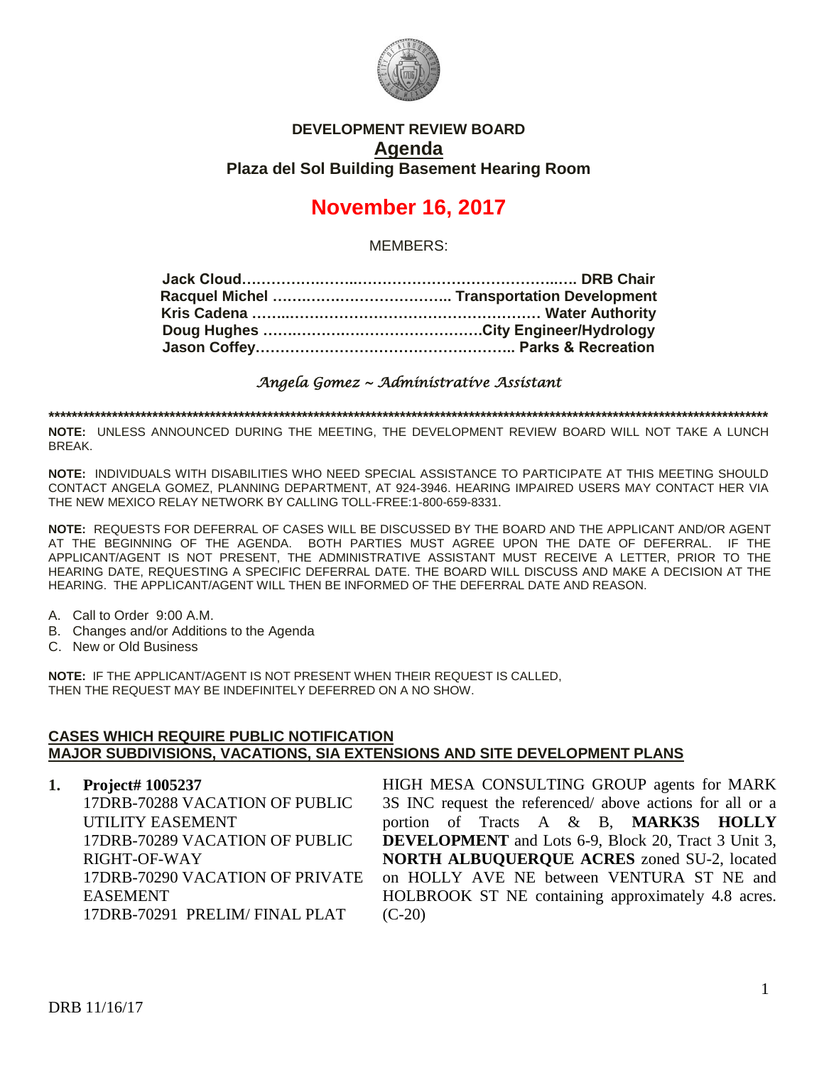

## **DEVELOPMENT REVIEW BOARD Agenda Plaza del Sol Building Basement Hearing Room**

# **November 16, 2017**

MEMBERS:

*Angela Gomez ~ Administrative Assistant* 

**\*\*\*\*\*\*\*\*\*\*\*\*\*\*\*\*\*\*\*\*\*\*\*\*\*\*\*\*\*\*\*\*\*\*\*\*\*\*\*\*\*\*\*\*\*\*\*\*\*\*\*\*\*\*\*\*\*\*\*\*\*\*\*\*\*\*\*\*\*\*\*\*\*\*\*\*\*\*\*\*\*\*\*\*\*\*\*\*\*\*\*\*\*\*\*\*\*\*\*\*\*\*\*\*\*\*\*\*\*\*\*\*\*\*\*\*\*\*\*\*\*\*\*\*\***

**NOTE:** UNLESS ANNOUNCED DURING THE MEETING, THE DEVELOPMENT REVIEW BOARD WILL NOT TAKE A LUNCH BREAK.

**NOTE:** INDIVIDUALS WITH DISABILITIES WHO NEED SPECIAL ASSISTANCE TO PARTICIPATE AT THIS MEETING SHOULD CONTACT ANGELA GOMEZ, PLANNING DEPARTMENT, AT 924-3946. HEARING IMPAIRED USERS MAY CONTACT HER VIA THE NEW MEXICO RELAY NETWORK BY CALLING TOLL-FREE:1-800-659-8331.

**NOTE:** REQUESTS FOR DEFERRAL OF CASES WILL BE DISCUSSED BY THE BOARD AND THE APPLICANT AND/OR AGENT AT THE BEGINNING OF THE AGENDA. BOTH PARTIES MUST AGREE UPON THE DATE OF DEFERRAL. IF THE APPLICANT/AGENT IS NOT PRESENT, THE ADMINISTRATIVE ASSISTANT MUST RECEIVE A LETTER, PRIOR TO THE HEARING DATE, REQUESTING A SPECIFIC DEFERRAL DATE. THE BOARD WILL DISCUSS AND MAKE A DECISION AT THE HEARING. THE APPLICANT/AGENT WILL THEN BE INFORMED OF THE DEFERRAL DATE AND REASON.

- A. Call to Order 9:00 A.M.
- B. Changes and/or Additions to the Agenda
- C. New or Old Business

**NOTE:** IF THE APPLICANT/AGENT IS NOT PRESENT WHEN THEIR REQUEST IS CALLED, THEN THE REQUEST MAY BE INDEFINITELY DEFERRED ON A NO SHOW.

#### **CASES WHICH REQUIRE PUBLIC NOTIFICATION MAJOR SUBDIVISIONS, VACATIONS, SIA EXTENSIONS AND SITE DEVELOPMENT PLANS**

**1. Project# 1005237** 17DRB-70288 VACATION OF PUBLIC UTILITY EASEMENT 17DRB-70289 VACATION OF PUBLIC RIGHT-OF-WAY 17DRB-70290 VACATION OF PRIVATE EASEMENT 17DRB-70291 PRELIM/ FINAL PLAT

HIGH MESA CONSULTING GROUP agents for MARK 3S INC request the referenced/ above actions for all or a portion of Tracts A & B, **MARK3S HOLLY DEVELOPMENT** and Lots 6-9, Block 20, Tract 3 Unit 3, **NORTH ALBUQUERQUE ACRES** zoned SU-2, located on HOLLY AVE NE between VENTURA ST NE and HOLBROOK ST NE containing approximately 4.8 acres.  $(C-20)$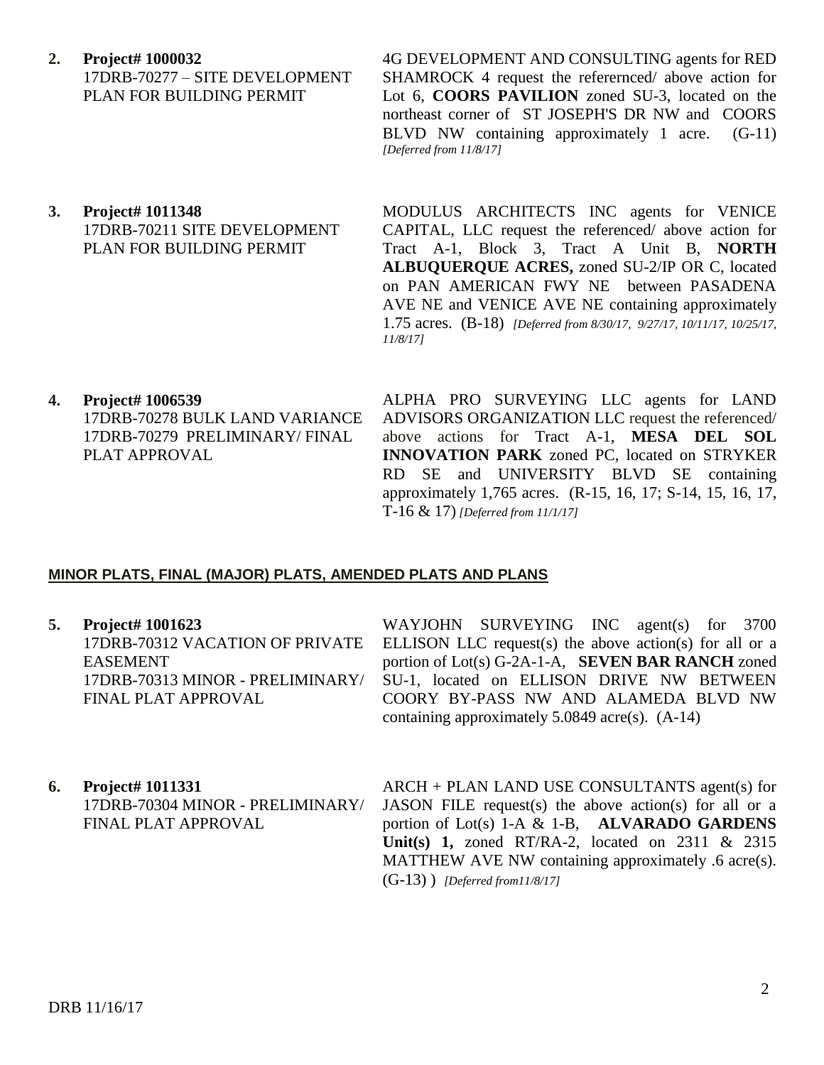**2. Project# 1000032**

17DRB-70277 – SITE DEVELOPMENT PLAN FOR BUILDING PERMIT

**3. Project# 1011348** 17DRB-70211 SITE DEVELOPMENT PLAN FOR BUILDING PERMIT

4G DEVELOPMENT AND CONSULTING agents for RED SHAMROCK 4 request the referernced/ above action for Lot 6, **COORS PAVILION** zoned SU-3, located on the northeast corner of ST JOSEPH'S DR NW and COORS BLVD NW containing approximately 1 acre. (G-11) *[Deferred from 11/8/17]*

MODULUS ARCHITECTS INC agents for VENICE CAPITAL, LLC request the referenced/ above action for Tract A-1, Block 3, Tract A Unit B, **NORTH ALBUQUERQUE ACRES,** zoned SU-2/IP OR C, located on PAN AMERICAN FWY NE between PASADENA AVE NE and VENICE AVE NE containing approximately 1.75 acres. (B-18) *[Deferred from 8/30/17, 9/27/17, 10/11/17, 10/25/17, 11/8/17]*

**4. Project# 1006539** 17DRB-70278 BULK LAND VARIANCE 17DRB-70279 PRELIMINARY/ FINAL PLAT APPROVAL

ALPHA PRO SURVEYING LLC agents for LAND ADVISORS ORGANIZATION LLC request the referenced/ above actions for Tract A-1, **MESA DEL SOL INNOVATION PARK** zoned PC, located on STRYKER RD SE and UNIVERSITY BLVD SE containing approximately 1,765 acres. (R-15, 16, 17; S-14, 15, 16, 17, T-16 & 17) *[Deferred from 11/1/17]*

### **MINOR PLATS, FINAL (MAJOR) PLATS, AMENDED PLATS AND PLANS**

**5. Project# 1001623** 17DRB-70312 VACATION OF PRIVATE EASEMENT 17DRB-70313 MINOR - PRELIMINARY/ FINAL PLAT APPROVAL

WAYJOHN SURVEYING INC agent(s) for 3700 ELLISON LLC request $(s)$  the above action $(s)$  for all or a portion of Lot(s) G-2A-1-A, **SEVEN BAR RANCH** zoned SU-1, located on ELLISON DRIVE NW BETWEEN COORY BY-PASS NW AND ALAMEDA BLVD NW containing approximately 5.0849 acre(s). (A-14)

**6. Project# 1011331** 17DRB-70304 MINOR - PRELIMINARY/ FINAL PLAT APPROVAL

ARCH + PLAN LAND USE CONSULTANTS agent(s) for JASON FILE request(s) the above action(s) for all or a portion of Lot(s) 1-A & 1-B, **ALVARADO GARDENS Unit(s) 1,** zoned RT/RA-2, located on 2311 & 2315 MATTHEW AVE NW containing approximately .6 acre(s). (G-13) ) *[Deferred from11/8/17]*